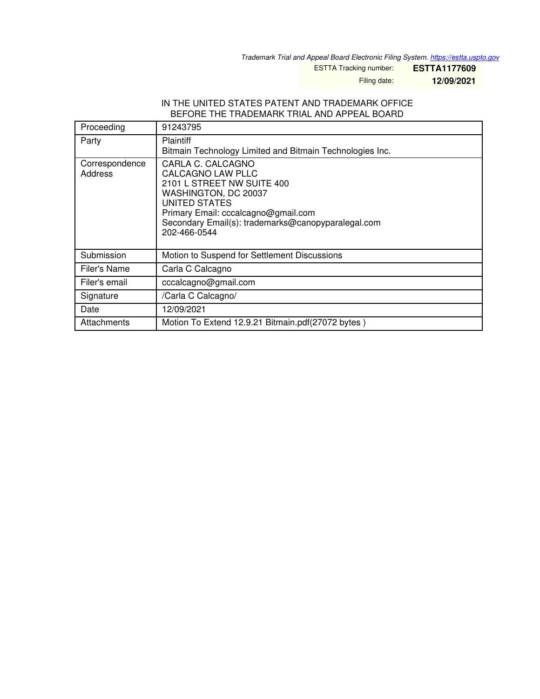*Trademark Trial and Appeal Board Electronic Filing System. <https://estta.uspto.gov>*

ESTTA Tracking number: **ESTTA1177609**

Filing date: **12/09/2021**

## IN THE UNITED STATES PATENT AND TRADEMARK OFFICE BEFORE THE TRADEMARK TRIAL AND APPEAL BOARD

| Proceeding                | 91243795                                                                                                                                                                                                                   |
|---------------------------|----------------------------------------------------------------------------------------------------------------------------------------------------------------------------------------------------------------------------|
| Party                     | Plaintiff<br>Bitmain Technology Limited and Bitmain Technologies Inc.                                                                                                                                                      |
| Correspondence<br>Address | CARLA C. CALCAGNO<br>CALCAGNO LAW PLLC<br>2101 L STREET NW SUITE 400<br>WASHINGTON, DC 20037<br>UNITED STATES<br>Primary Email: cccalcagno@gmail.com<br>Secondary Email(s): trademarks@canopyparalegal.com<br>202-466-0544 |
| Submission                | Motion to Suspend for Settlement Discussions                                                                                                                                                                               |
| Filer's Name              | Carla C Calcagno                                                                                                                                                                                                           |
| Filer's email             | cccalcagno@gmail.com                                                                                                                                                                                                       |
| Signature                 | /Carla C Calcagno/                                                                                                                                                                                                         |
| Date                      | 12/09/2021                                                                                                                                                                                                                 |
| Attachments               | Motion To Extend 12.9.21 Bitmain.pdf(27072 bytes)                                                                                                                                                                          |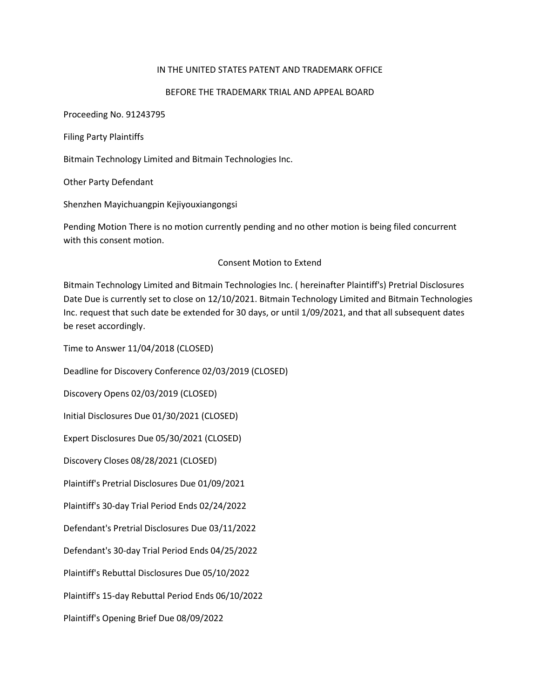## IN THE UNITED STATES PATENT AND TRADEMARK OFFICE

## BEFORE THE TRADEMARK TRIAL AND APPEAL BOARD

Proceeding No. 91243795

Filing Party Plaintiffs

Bitmain Technology Limited and Bitmain Technologies Inc.

Other Party Defendant

Shenzhen Mayichuangpin Kejiyouxiangongsi

Pending Motion There is no motion currently pending and no other motion is being filed concurrent with this consent motion.

## Consent Motion to Extend

Bitmain Technology Limited and Bitmain Technologies Inc. ( hereinafter Plaintiff's) Pretrial Disclosures Date Due is currently set to close on 12/10/2021. Bitmain Technology Limited and Bitmain Technologies Inc. request that such date be extended for 30 days, or until 1/09/2021, and that all subsequent dates be reset accordingly.

Time to Answer 11/04/2018 (CLOSED)

Deadline for Discovery Conference 02/03/2019 (CLOSED)

Discovery Opens 02/03/2019 (CLOSED)

Initial Disclosures Due 01/30/2021 (CLOSED)

Expert Disclosures Due 05/30/2021 (CLOSED)

Discovery Closes 08/28/2021 (CLOSED)

Plaintiff's Pretrial Disclosures Due 01/09/2021

Plaintiff's 30-day Trial Period Ends 02/24/2022

Defendant's Pretrial Disclosures Due 03/11/2022

Defendant's 30-day Trial Period Ends 04/25/2022

Plaintiff's Rebuttal Disclosures Due 05/10/2022

Plaintiff's 15-day Rebuttal Period Ends 06/10/2022

Plaintiff's Opening Brief Due 08/09/2022